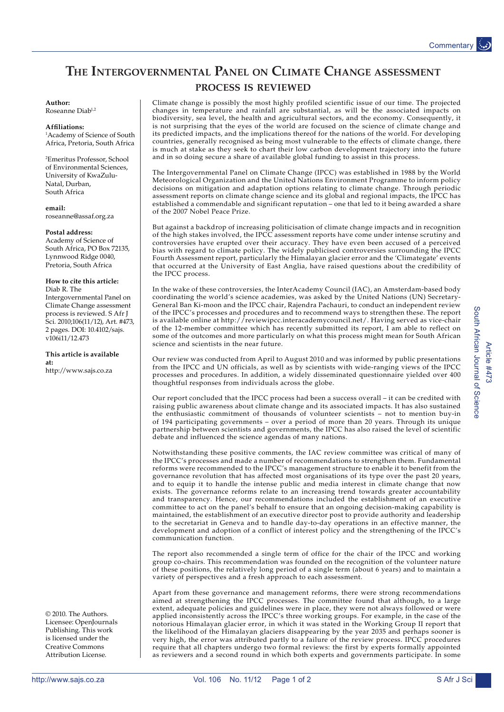# **The Intergovernmental Panel on Climate Change assessment**

**Author:**  Roseanne Diab<sup>1,2</sup>

### **Affiliations:**

1 Academy of Science of South Africa, Pretoria, South Africa

2 Emeritus Professor, School of Environmental Sciences, University of KwaZulu-Natal, Durban, South Africa

**email:**

roseanne@assaf.org.za

## **Postal address:**

Academy of Science of South Africa, PO Box 72135, Lynnwood Ridge 0040, Pretoria, South Africa

#### **How to cite this article:** Diab R. The

Intergovernmental Panel on Climate Change assessment process is reviewed. S Afr J Sci. 2010;106(11/12), Art. #473, 2 pages. DOI: 10.4102/sajs. v106i11/12.473

**This article is available at:** http://www.sajs.co.za

© 2010. The Authors. Licensee: OpenJournals Publishing. This work is licensed under the Creative Commons Attribution License.

# **process is reviewed**

Climate change is possibly the most highly profiled scientific issue of our time. The projected changes in temperature and rainfall are substantial, as will be the associated impacts on biodiversity, sea level, the health and agricultural sectors, and the economy. Consequently, it is not surprising that the eyes of the world are focused on the science of climate change and its predicted impacts, and the implications thereof for the nations of the world. For developing countries, generally recognised as being most vulnerable to the effects of climate change, there is much at stake as they seek to chart their low carbon development trajectory into the future and in so doing secure a share of available global funding to assist in this process.

The Intergovernmental Panel on Climate Change (IPCC) was established in 1988 by the World Meteorological Organization and the United Nations Environment Programme to inform policy decisions on mitigation and adaptation options relating to climate change. Through periodic assessment reports on climate change science and its global and regional impacts, the IPCC has established a commendable and significant reputation – one that led to it being awarded a share of the 2007 Nobel Peace Prize.

But against a backdrop of increasing politicisation of climate change impacts and in recognition of the high stakes involved, the IPCC assessment reports have come under intense scrutiny and controversies have erupted over their accuracy. They have even been accused of a perceived bias with regard to climate policy. The widely publicised controversies surrounding the IPCC Fourth Assessment report, particularly the Himalayan glacier error and the 'Climategate' events that occurred at the University of East Anglia, have raised questions about the credibility of the IPCC process.

In the wake of these controversies, the InterAcademy Council (IAC), an Amsterdam-based body coordinating the world's science academies, was asked by the United Nations (UN) Secretary-General Ban Ki-moon and the IPCC chair, Rajendra Pachauri, to conduct an independent review of the IPCC's processes and procedures and to recommend ways to strengthen these. The report is available online at http://reviewipcc.interacademycouncil.net/. Having served as vice-chair of the 12-member committee which has recently submitted its report, I am able to reflect on some of the outcomes and more particularly on what this process might mean for South African science and scientists in the near future.

Our review was conducted from April to August 2010 and was informed by public presentations from the IPCC and UN officials, as well as by scientists with wide-ranging views of the IPCC processes and procedures. In addition, a widely disseminated questionnaire yielded over 400 thoughtful responses from individuals across the globe.

Our report concluded that the IPCC process had been a success overall – it can be credited with raising public awareness about climate change and its associated impacts. It has also sustained the enthusiastic commitment of thousands of volunteer scientists – not to mention buy-in of 194 participating governments – over a period of more than 20 years. Through its unique partnership between scientists and governments, the IPCC has also raised the level of scientific debate and influenced the science agendas of many nations.

Notwithstanding these positive comments, the IAC review committee was critical of many of the IPCC's processes and made a number of recommendations to strengthen them. Fundamental reforms were recommended to the IPCC's management structure to enable it to benefit from the governance revolution that has affected most organisations of its type over the past 20 years, and to equip it to handle the intense public and media interest in climate change that now exists. The governance reforms relate to an increasing trend towards greater accountability and transparency. Hence, our recommendations included the establishment of an executive committee to act on the panel's behalf to ensure that an ongoing decision-making capability is maintained, the establishment of an executive director post to provide authority and leadership to the secretariat in Geneva and to handle day-to-day operations in an effective manner, the development and adoption of a conflict of interest policy and the strengthening of the IPCC's communication function.

The report also recommended a single term of office for the chair of the IPCC and working group co-chairs. This recommendation was founded on the recognition of the volunteer nature of these positions, the relatively long period of a single term (about 6 years) and to maintain a variety of perspectives and a fresh approach to each assessment.

Apart from these governance and management reforms, there were strong recommendations aimed at strengthening the IPCC processes. The committee found that although, to a large extent, adequate policies and guidelines were in place, they were not always followed or were applied inconsistently across the IPCC's three working groups. For example, in the case of the notorious Himalayan glacier error, in which it was stated in the Working Group II report that the likelihood of the Himalayan glaciers disappearing by the year 2035 and perhaps sooner is very high, the error was attributed partly to a failure of the review process. IPCC procedures require that all chapters undergo two formal reviews: the first by experts formally appointed as reviewers and a second round in which both experts and governments participate. In some